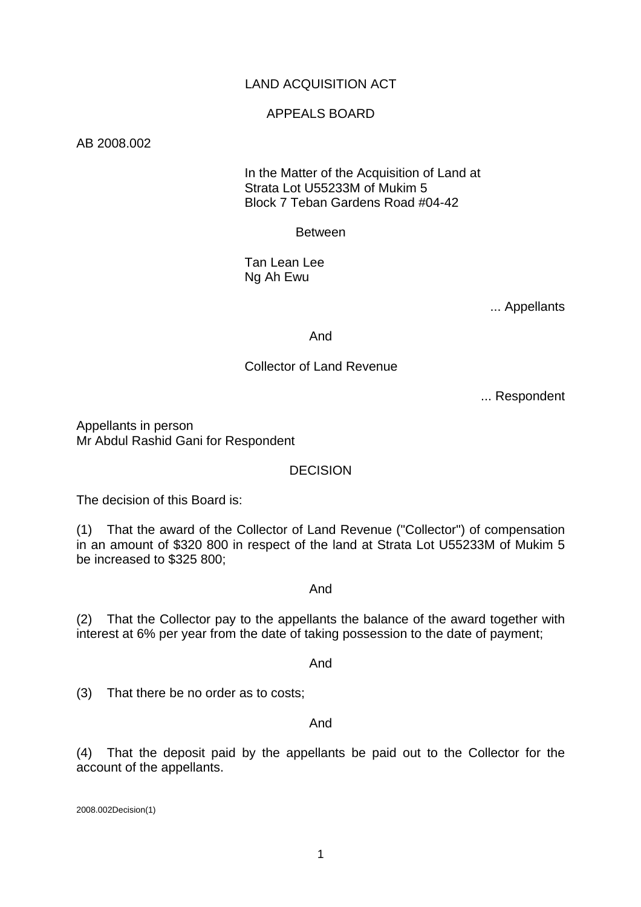# LAND ACQUISITION ACT

## APPEALS BOARD

#### AB 2008.002

### In the Matter of the Acquisition of Land at Strata Lot U55233M of Mukim 5 Block 7 Teban Gardens Road #04-42

#### Between

 Tan Lean Lee Ng Ah Ewu

... Appellants

And

### Collector of Land Revenue

... Respondent

Appellants in person Mr Abdul Rashid Gani for Respondent

## DECISION

The decision of this Board is:

(1) That the award of the Collector of Land Revenue ("Collector") of compensation in an amount of \$320 800 in respect of the land at Strata Lot U55233M of Mukim 5 be increased to \$325 800;

#### And

(2) That the Collector pay to the appellants the balance of the award together with interest at 6% per year from the date of taking possession to the date of payment;

And

(3) That there be no order as to costs;

#### And

(4) That the deposit paid by the appellants be paid out to the Collector for the account of the appellants.

2008.002Decision(1)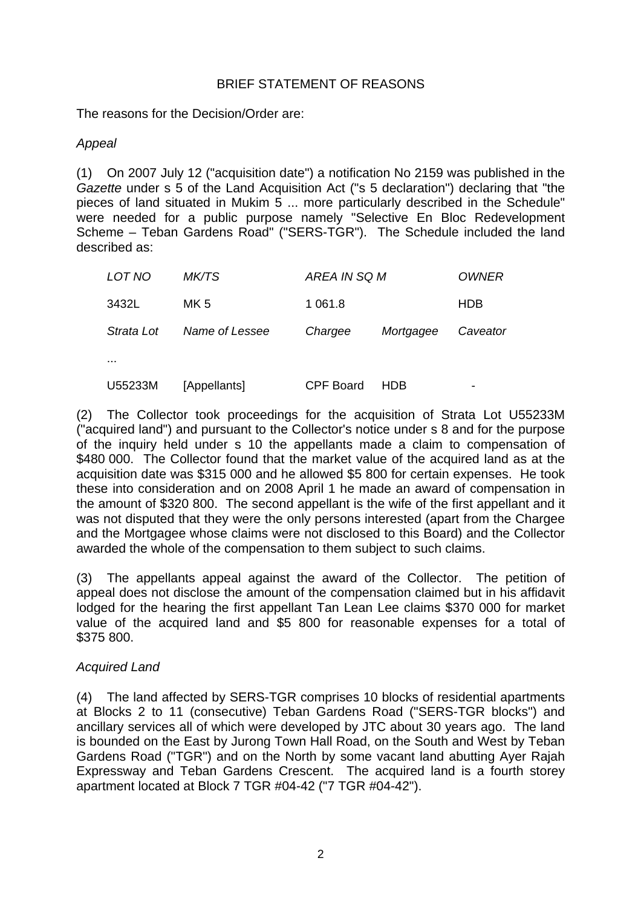## BRIEF STATEMENT OF REASONS

The reasons for the Decision/Order are:

## *Appeal*

(1) On 2007 July 12 ("acquisition date") a notification No 2159 was published in the *Gazette* under s 5 of the Land Acquisition Act ("s 5 declaration") declaring that "the pieces of land situated in Mukim 5 ... more particularly described in the Schedule" were needed for a public purpose namely "Selective En Bloc Redevelopment Scheme – Teban Gardens Road" ("SERS-TGR"). The Schedule included the land described as:

| LOT NO     | <i>MK/TS</i>   | AREA IN SQ M     |           | <i><b>OWNER</b></i>      |
|------------|----------------|------------------|-----------|--------------------------|
| 3432L      | MK 5           | 1 0 6 1 .8       |           | <b>HDB</b>               |
| Strata Lot | Name of Lessee | Chargee          | Mortgagee | Caveator                 |
| $\cdots$   |                |                  |           |                          |
| U55233M    | [Appellants]   | <b>CPF Board</b> | HDB       | $\overline{\phantom{0}}$ |

(2) The Collector took proceedings for the acquisition of Strata Lot U55233M ("acquired land") and pursuant to the Collector's notice under s 8 and for the purpose of the inquiry held under s 10 the appellants made a claim to compensation of \$480 000. The Collector found that the market value of the acquired land as at the acquisition date was \$315 000 and he allowed \$5 800 for certain expenses. He took these into consideration and on 2008 April 1 he made an award of compensation in the amount of \$320 800. The second appellant is the wife of the first appellant and it was not disputed that they were the only persons interested (apart from the Chargee and the Mortgagee whose claims were not disclosed to this Board) and the Collector awarded the whole of the compensation to them subject to such claims.

(3) The appellants appeal against the award of the Collector. The petition of appeal does not disclose the amount of the compensation claimed but in his affidavit lodged for the hearing the first appellant Tan Lean Lee claims \$370 000 for market value of the acquired land and \$5 800 for reasonable expenses for a total of \$375 800.

# *Acquired Land*

(4) The land affected by SERS-TGR comprises 10 blocks of residential apartments at Blocks 2 to 11 (consecutive) Teban Gardens Road ("SERS-TGR blocks") and ancillary services all of which were developed by JTC about 30 years ago. The land is bounded on the East by Jurong Town Hall Road, on the South and West by Teban Gardens Road ("TGR") and on the North by some vacant land abutting Ayer Rajah Expressway and Teban Gardens Crescent. The acquired land is a fourth storey apartment located at Block 7 TGR #04-42 ("7 TGR #04-42").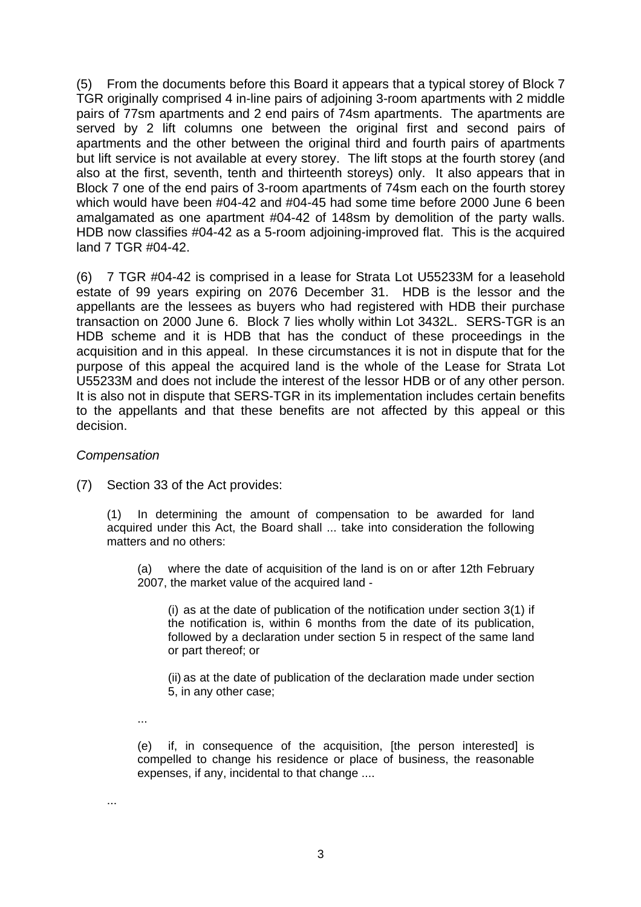(5) From the documents before this Board it appears that a typical storey of Block 7 TGR originally comprised 4 in-line pairs of adjoining 3-room apartments with 2 middle pairs of 77sm apartments and 2 end pairs of 74sm apartments. The apartments are served by 2 lift columns one between the original first and second pairs of apartments and the other between the original third and fourth pairs of apartments but lift service is not available at every storey. The lift stops at the fourth storey (and also at the first, seventh, tenth and thirteenth storeys) only. It also appears that in Block 7 one of the end pairs of 3-room apartments of 74sm each on the fourth storey which would have been #04-42 and #04-45 had some time before 2000 June 6 been amalgamated as one apartment #04-42 of 148sm by demolition of the party walls. HDB now classifies #04-42 as a 5-room adjoining-improved flat. This is the acquired land 7 TGR #04-42.

(6) 7 TGR #04-42 is comprised in a lease for Strata Lot U55233M for a leasehold estate of 99 years expiring on 2076 December 31. HDB is the lessor and the appellants are the lessees as buyers who had registered with HDB their purchase transaction on 2000 June 6. Block 7 lies wholly within Lot 3432L. SERS-TGR is an HDB scheme and it is HDB that has the conduct of these proceedings in the acquisition and in this appeal. In these circumstances it is not in dispute that for the purpose of this appeal the acquired land is the whole of the Lease for Strata Lot U55233M and does not include the interest of the lessor HDB or of any other person. It is also not in dispute that SERS-TGR in its implementation includes certain benefits to the appellants and that these benefits are not affected by this appeal or this decision.

## *Compensation*

(7) Section 33 of the Act provides:

(1) In determining the amount of compensation to be awarded for land acquired under this Act, the Board shall ... take into consideration the following matters and no others:

(a) where the date of acquisition of the land is on or after 12th February 2007, the market value of the acquired land -

(i) as at the date of publication of the notification under section  $3(1)$  if the notification is, within 6 months from the date of its publication, followed by a declaration under section 5 in respect of the same land or part thereof; or

(ii) as at the date of publication of the declaration made under section 5, in any other case;

...

...

(e) if, in consequence of the acquisition, [the person interested] is compelled to change his residence or place of business, the reasonable expenses, if any, incidental to that change ....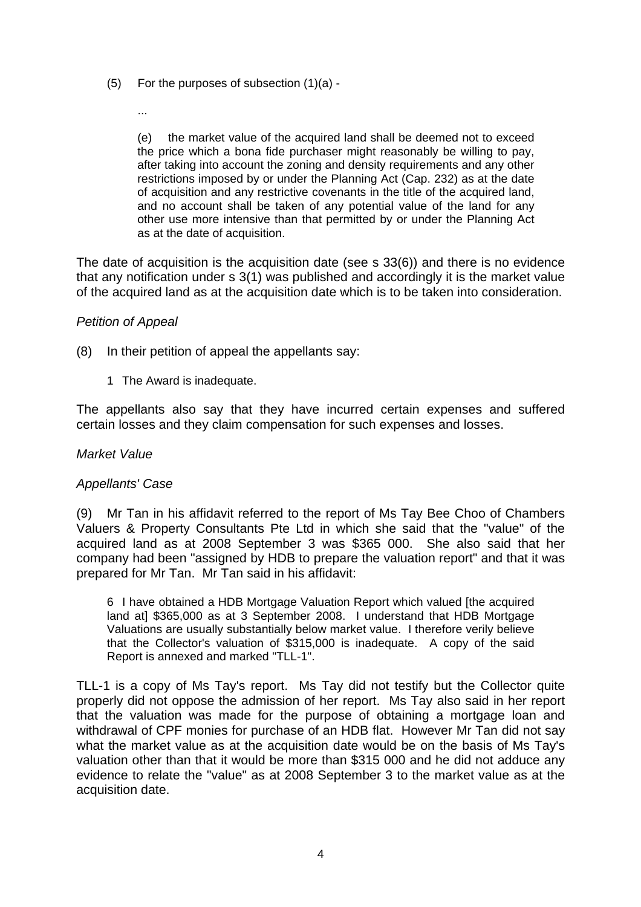- (5) For the purposes of subsection (1)(a)
	- ...

(e) the market value of the acquired land shall be deemed not to exceed the price which a bona fide purchaser might reasonably be willing to pay, after taking into account the zoning and density requirements and any other restrictions imposed by or under the Planning Act (Cap. 232) as at the date of acquisition and any restrictive covenants in the title of the acquired land, and no account shall be taken of any potential value of the land for any other use more intensive than that permitted by or under the Planning Act as at the date of acquisition.

The date of acquisition is the acquisition date (see s 33(6)) and there is no evidence that any notification under s 3(1) was published and accordingly it is the market value of the acquired land as at the acquisition date which is to be taken into consideration.

### *Petition of Appeal*

- (8) In their petition of appeal the appellants say:
	- 1 The Award is inadequate.

The appellants also say that they have incurred certain expenses and suffered certain losses and they claim compensation for such expenses and losses.

#### *Market Value*

#### *Appellants' Case*

(9) Mr Tan in his affidavit referred to the report of Ms Tay Bee Choo of Chambers Valuers & Property Consultants Pte Ltd in which she said that the "value" of the acquired land as at 2008 September 3 was \$365 000. She also said that her company had been "assigned by HDB to prepare the valuation report" and that it was prepared for Mr Tan. Mr Tan said in his affidavit:

6 I have obtained a HDB Mortgage Valuation Report which valued [the acquired land at] \$365,000 as at 3 September 2008. I understand that HDB Mortgage Valuations are usually substantially below market value. I therefore verily believe that the Collector's valuation of \$315,000 is inadequate. A copy of the said Report is annexed and marked "TLL-1".

TLL-1 is a copy of Ms Tay's report. Ms Tay did not testify but the Collector quite properly did not oppose the admission of her report. Ms Tay also said in her report that the valuation was made for the purpose of obtaining a mortgage loan and withdrawal of CPF monies for purchase of an HDB flat. However Mr Tan did not say what the market value as at the acquisition date would be on the basis of Ms Tay's valuation other than that it would be more than \$315 000 and he did not adduce any evidence to relate the "value" as at 2008 September 3 to the market value as at the acquisition date.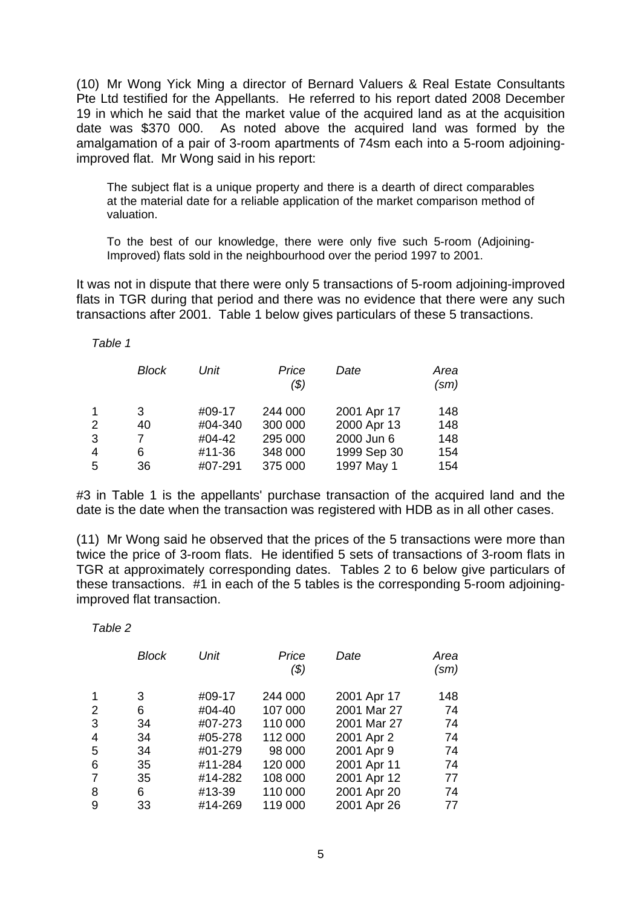(10) Mr Wong Yick Ming a director of Bernard Valuers & Real Estate Consultants Pte Ltd testified for the Appellants. He referred to his report dated 2008 December 19 in which he said that the market value of the acquired land as at the acquisition date was \$370 000. As noted above the acquired land was formed by the amalgamation of a pair of 3-room apartments of 74sm each into a 5-room adjoiningimproved flat. Mr Wong said in his report:

The subject flat is a unique property and there is a dearth of direct comparables at the material date for a reliable application of the market comparison method of valuation.

To the best of our knowledge, there were only five such 5-room (Adjoining-Improved) flats sold in the neighbourhood over the period 1997 to 2001.

It was not in dispute that there were only 5 transactions of 5-room adjoining-improved flats in TGR during that period and there was no evidence that there were any such transactions after 2001. Table 1 below gives particulars of these 5 transactions.

*Table 1* 

|   | Block | Unit    | Price<br>(\$) | Date        | Area<br>(sm) |
|---|-------|---------|---------------|-------------|--------------|
| 1 | 3     | #09-17  | 244 000       | 2001 Apr 17 | 148          |
| 2 | 40    | #04-340 | 300 000       | 2000 Apr 13 | 148          |
| 3 |       | #04-42  | 295 000       | 2000 Jun 6  | 148          |
| 4 | 6     | #11-36  | 348 000       | 1999 Sep 30 | 154          |
| 5 | 36    | #07-291 | 375 000       | 1997 May 1  | 154          |

#3 in Table 1 is the appellants' purchase transaction of the acquired land and the date is the date when the transaction was registered with HDB as in all other cases.

(11) Mr Wong said he observed that the prices of the 5 transactions were more than twice the price of 3-room flats. He identified 5 sets of transactions of 3-room flats in TGR at approximately corresponding dates. Tables 2 to 6 below give particulars of these transactions. #1 in each of the 5 tables is the corresponding 5-room adjoiningimproved flat transaction.

|                | <b>Block</b> | Unit    | Price<br>$(\$)$ | Date        | Area<br>(sm) |
|----------------|--------------|---------|-----------------|-------------|--------------|
| $\mathbf{1}$   | 3            | #09-17  | 244 000         | 2001 Apr 17 | 148          |
| 2              | 6            | #04-40  | 107 000         | 2001 Mar 27 | 74           |
| 3              | 34           | #07-273 | 110 000         | 2001 Mar 27 | 74           |
| $\overline{4}$ | 34           | #05-278 | 112 000         | 2001 Apr 2  | 74           |
| 5              | 34           | #01-279 | 98 000          | 2001 Apr 9  | 74           |
| 6              | 35           | #11-284 | 120 000         | 2001 Apr 11 | 74           |
| $\overline{7}$ | 35           | #14-282 | 108 000         | 2001 Apr 12 | 77           |
| 8              | 6            | #13-39  | 110 000         | 2001 Apr 20 | 74           |
| 9              | 33           | #14-269 | 119 000         | 2001 Apr 26 | 77           |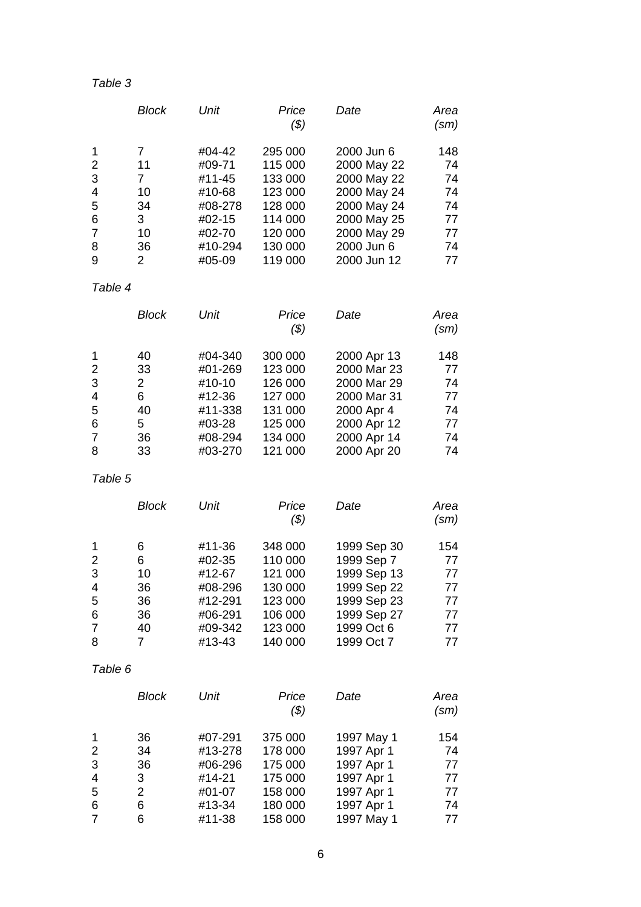# *Table 3*

|   | Block | Unit    | Price<br>(\$) | Date        | Area<br>$\text{(sm)}$ |
|---|-------|---------|---------------|-------------|-----------------------|
|   | 7     | #04-42  | 295 000       | 2000 Jun 6  | 148                   |
| 2 | 11    | #09-71  | 115 000       | 2000 May 22 | 74                    |
| 3 | 7     | #11-45  | 133 000       | 2000 May 22 | 74                    |
| 4 | 10    | #10-68  | 123 000       | 2000 May 24 | 74                    |
| 5 | 34    | #08-278 | 128 000       | 2000 May 24 | 74                    |
| 6 | 3     | #02-15  | 114 000       | 2000 May 25 | 77                    |
|   | 10    | #02-70  | 120 000       | 2000 May 29 | 77                    |
| 8 | 36    | #10-294 | 130 000       | 2000 Jun 6  | 74                    |
| 9 | 2     | #05-09  | 119 000       | 2000 Jun 12 | 77                    |

# *Table 4*

|                | <b>Block</b>   | Unit    | Price<br>(\$) | Date        | Area<br>(sm) |
|----------------|----------------|---------|---------------|-------------|--------------|
| 1              | 40             | #04-340 | 300 000       | 2000 Apr 13 | 148          |
| 2              | 33             | #01-269 | 123 000       | 2000 Mar 23 | 77           |
| 3              | $\overline{2}$ | #10-10  | 126 000       | 2000 Mar 29 | 74           |
| $\overline{4}$ | 6              | #12-36  | 127 000       | 2000 Mar 31 | 77           |
| 5              | 40             | #11-338 | 131 000       | 2000 Apr 4  | 74           |
| 6              | 5              | #03-28  | 125 000       | 2000 Apr 12 | 77           |
| 7              | 36             | #08-294 | 134 000       | 2000 Apr 14 | 74           |
| 8              | 33             | #03-270 | 121 000       | 2000 Apr 20 | 74           |

# *Table 5*

|   | <b>Block</b> | Unit    | Price<br>(\$) | Date        | Area<br>(sm) |
|---|--------------|---------|---------------|-------------|--------------|
|   | 6            | #11-36  | 348 000       | 1999 Sep 30 | 154          |
| 2 | 6            | #02-35  | 110 000       | 1999 Sep 7  | 77           |
| 3 | 10           | #12-67  | 121 000       | 1999 Sep 13 | 77           |
| 4 | 36           | #08-296 | 130 000       | 1999 Sep 22 | 77           |
| 5 | 36           | #12-291 | 123 000       | 1999 Sep 23 | 77           |
| 6 | 36           | #06-291 | 106 000       | 1999 Sep 27 | 77           |
| 7 | 40           | #09-342 | 123 000       | 1999 Oct 6  | 77           |
| 8 | 7            | #13-43  | 140 000       | 1999 Oct 7  | 77           |

|                | <b>Block</b> | Unit    | Price<br>(\$) | Date       | Area<br>(sm) |
|----------------|--------------|---------|---------------|------------|--------------|
| $\mathbf{1}$   | 36           | #07-291 | 375 000       | 1997 May 1 | 154          |
| 2              | 34           | #13-278 | 178 000       | 1997 Apr 1 | 74           |
| 3              | 36           | #06-296 | 175 000       | 1997 Apr 1 | 77           |
| $\overline{4}$ | 3            | #14-21  | 175 000       | 1997 Apr 1 | 77           |
| 5              | 2            | #01-07  | 158 000       | 1997 Apr 1 | 77           |
| 6              | 6            | #13-34  | 180 000       | 1997 Apr 1 | 74           |
| 7              | 6            | #11-38  | 158 000       | 1997 May 1 | 77           |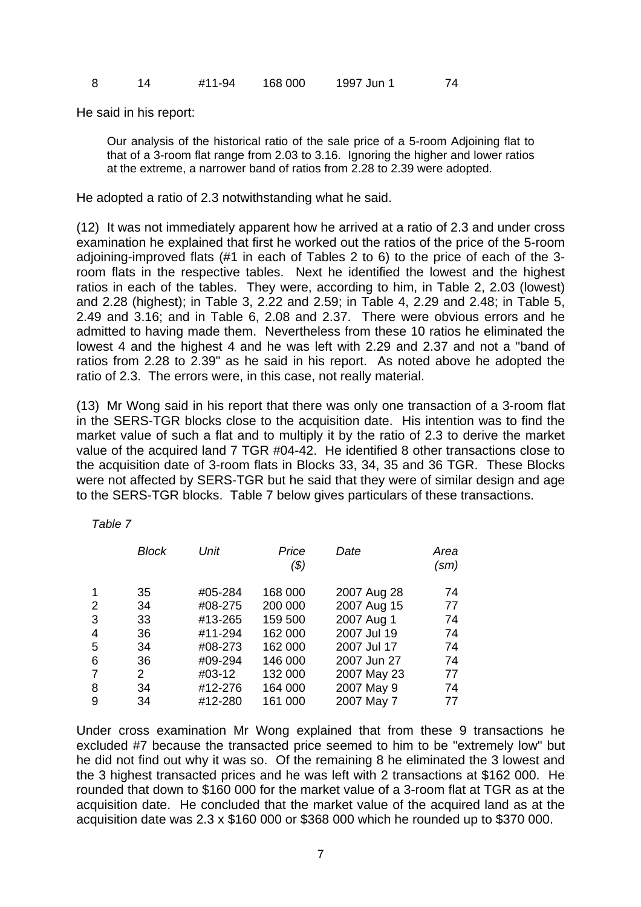|  |  |  | #11-94 | 168 000 | 1997 Jun 1 | 74 |
|--|--|--|--------|---------|------------|----|
|--|--|--|--------|---------|------------|----|

He said in his report:

*Table 7* 

Our analysis of the historical ratio of the sale price of a 5-room Adjoining flat to that of a 3-room flat range from 2.03 to 3.16. Ignoring the higher and lower ratios at the extreme, a narrower band of ratios from 2.28 to 2.39 were adopted.

He adopted a ratio of 2.3 notwithstanding what he said.

(12) It was not immediately apparent how he arrived at a ratio of 2.3 and under cross examination he explained that first he worked out the ratios of the price of the 5-room adjoining-improved flats (#1 in each of Tables 2 to 6) to the price of each of the 3 room flats in the respective tables. Next he identified the lowest and the highest ratios in each of the tables. They were, according to him, in Table 2, 2.03 (lowest) and 2.28 (highest); in Table 3, 2.22 and 2.59; in Table 4, 2.29 and 2.48; in Table 5, 2.49 and 3.16; and in Table 6, 2.08 and 2.37. There were obvious errors and he admitted to having made them. Nevertheless from these 10 ratios he eliminated the lowest 4 and the highest 4 and he was left with 2.29 and 2.37 and not a "band of ratios from 2.28 to 2.39" as he said in his report. As noted above he adopted the ratio of 2.3. The errors were, in this case, not really material.

(13) Mr Wong said in his report that there was only one transaction of a 3-room flat in the SERS-TGR blocks close to the acquisition date. His intention was to find the market value of such a flat and to multiply it by the ratio of 2.3 to derive the market value of the acquired land 7 TGR #04-42. He identified 8 other transactions close to the acquisition date of 3-room flats in Blocks 33, 34, 35 and 36 TGR. These Blocks were not affected by SERS-TGR but he said that they were of similar design and age to the SERS-TGR blocks. Table 7 below gives particulars of these transactions.

|             | <b>Block</b>              | Unit    | Price<br>( \$) | Date        | Area<br>(sm) |
|-------------|---------------------------|---------|----------------|-------------|--------------|
| $\mathbf 1$ | 35                        | #05-284 | 168 000        | 2007 Aug 28 | 74           |
| 2           | 34                        | #08-275 | 200 000        | 2007 Aug 15 | 77           |
| 3           | 33                        | #13-265 | 159 500        | 2007 Aug 1  | 74           |
| 4           | 36                        | #11-294 | 162 000        | 2007 Jul 19 | 74           |
| 5           | 34                        | #08-273 | 162 000        | 2007 Jul 17 | 74           |
| 6           | 36                        | #09-294 | 146 000        | 2007 Jun 27 | 74           |
| 7           | $\mathbf{2}^{\mathsf{I}}$ | #03-12  | 132 000        | 2007 May 23 | 77           |
| 8           | 34                        | #12-276 | 164 000        | 2007 May 9  | 74           |
| 9           | 34                        | #12-280 | 161 000        | 2007 May 7  | 77           |

Under cross examination Mr Wong explained that from these 9 transactions he excluded #7 because the transacted price seemed to him to be "extremely low" but he did not find out why it was so. Of the remaining 8 he eliminated the 3 lowest and the 3 highest transacted prices and he was left with 2 transactions at \$162 000. He rounded that down to \$160 000 for the market value of a 3-room flat at TGR as at the acquisition date. He concluded that the market value of the acquired land as at the acquisition date was 2.3 x \$160 000 or \$368 000 which he rounded up to \$370 000.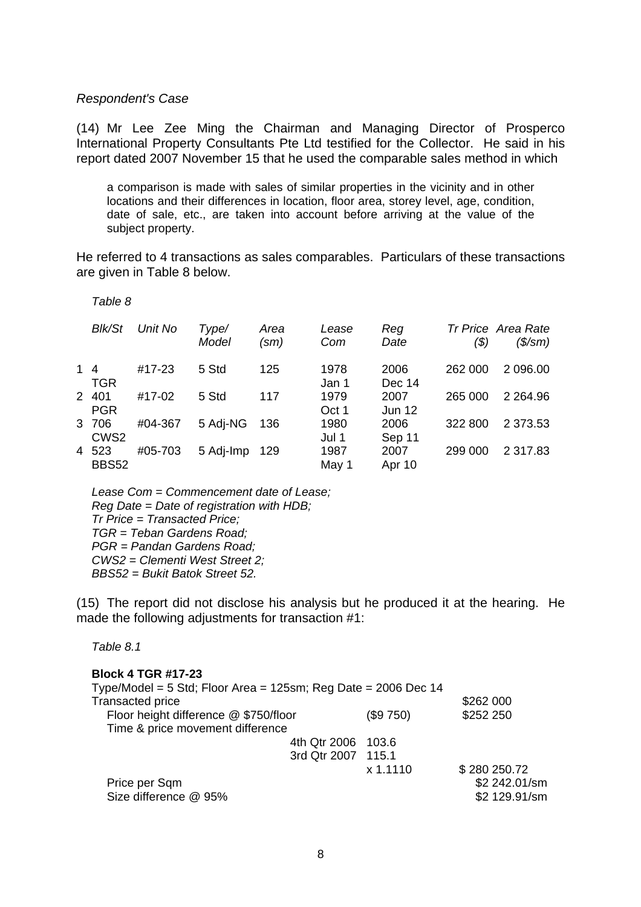#### *Respondent's Case*

(14) Mr Lee Zee Ming the Chairman and Managing Director of Prosperco International Property Consultants Pte Ltd testified for the Collector. He said in his report dated 2007 November 15 that he used the comparable sales method in which

a comparison is made with sales of similar properties in the vicinity and in other locations and their differences in location, floor area, storey level, age, condition, date of sale, etc., are taken into account before arriving at the value of the subject property.

He referred to 4 transactions as sales comparables. Particulars of these transactions are given in Table 8 below.

 *Table 8* 

|    | <b>Blk/St</b>             | Unit No | Type/<br>Model | Area<br>$\text{(sm)}$ | Lease<br>Com  | Reg<br>Date           | (\$)    | Tr Price Area Rate<br>$($\mathsf{/} \mathsf{S}\mathsf{/} \mathsf{S}\mathsf{m})$ |
|----|---------------------------|---------|----------------|-----------------------|---------------|-----------------------|---------|---------------------------------------------------------------------------------|
| 14 | <b>TGR</b>                | #17-23  | 5 Std          | 125                   | 1978<br>Jan 1 | 2006<br>Dec 14        | 262 000 | 2 096.00                                                                        |
|    | 2 401<br><b>PGR</b>       | #17-02  | 5 Std          | 117                   | 1979<br>Oct 1 | 2007<br><b>Jun 12</b> | 265 000 | 2 2 64.96                                                                       |
|    | 3 706<br>CWS <sub>2</sub> | #04-367 | 5 Adj-NG       | 136                   | 1980<br>Jul 1 | 2006<br>Sep 11        | 322 800 | 2 3 7 3 .5 3                                                                    |
|    | 4 523<br><b>BBS52</b>     | #05-703 | 5 Adj-Imp      | 129                   | 1987<br>May 1 | 2007<br>Apr 10        | 299 000 | 2 317.83                                                                        |

 *Lease Com = Commencement date of Lease; Reg Date = Date of registration with HDB; Tr Price = Transacted Price; TGR = Teban Gardens Road; PGR = Pandan Gardens Road; CWS2 = Clementi West Street 2; BBS52 = Bukit Batok Street 52.*

(15) The report did not disclose his analysis but he produced it at the hearing. He made the following adjustments for transaction #1:

*Table 8.1* 

| <b>Block 4 TGR #17-23</b><br>Type/Model = 5 Std; Floor Area = 125sm; Reg Date = 2006 Dec 14 |           |               |
|---------------------------------------------------------------------------------------------|-----------|---------------|
| <b>Transacted price</b>                                                                     |           | \$262 000     |
| Floor height difference @ \$750/floor                                                       | (\$9 750) | \$252 250     |
| Time & price movement difference                                                            |           |               |
| 4th Qtr 2006 103.6                                                                          |           |               |
| 3rd Qtr 2007 115.1                                                                          |           |               |
|                                                                                             | x 1.1110  | \$280 250.72  |
| Price per Sqm                                                                               |           | \$2 242.01/sm |
| Size difference @ 95%                                                                       |           | \$2 129.91/sm |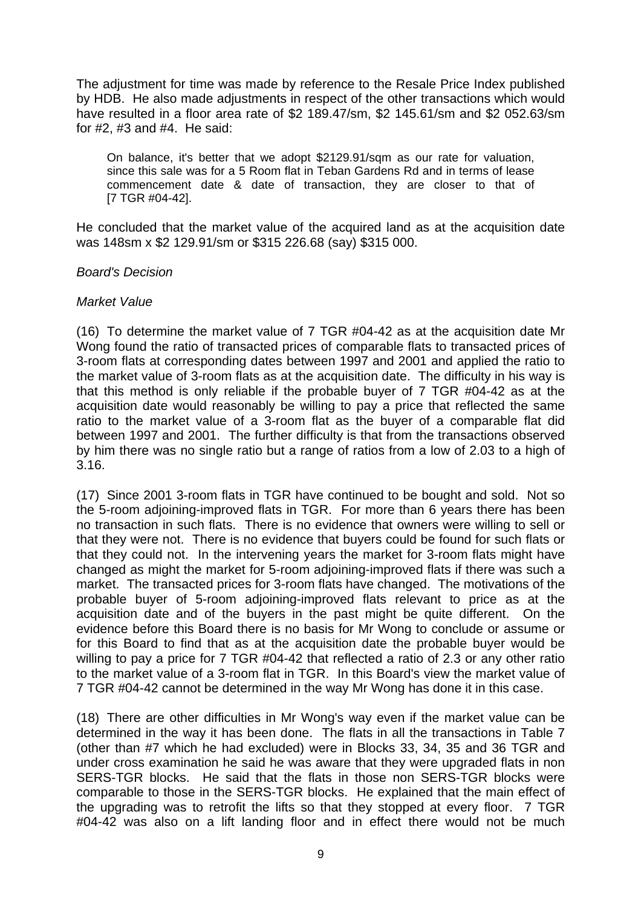The adjustment for time was made by reference to the Resale Price Index published by HDB. He also made adjustments in respect of the other transactions which would have resulted in a floor area rate of \$2 189.47/sm, \$2 145.61/sm and \$2 052.63/sm for #2, #3 and #4. He said:

On balance, it's better that we adopt \$2129.91/sqm as our rate for valuation, since this sale was for a 5 Room flat in Teban Gardens Rd and in terms of lease commencement date & date of transaction, they are closer to that of [7 TGR #04-42].

He concluded that the market value of the acquired land as at the acquisition date was 148sm x \$2 129.91/sm or \$315 226.68 (say) \$315 000.

## *Board's Decision*

### *Market Value*

(16) To determine the market value of 7 TGR #04-42 as at the acquisition date Mr Wong found the ratio of transacted prices of comparable flats to transacted prices of 3-room flats at corresponding dates between 1997 and 2001 and applied the ratio to the market value of 3-room flats as at the acquisition date. The difficulty in his way is that this method is only reliable if the probable buyer of 7 TGR #04-42 as at the acquisition date would reasonably be willing to pay a price that reflected the same ratio to the market value of a 3-room flat as the buyer of a comparable flat did between 1997 and 2001. The further difficulty is that from the transactions observed by him there was no single ratio but a range of ratios from a low of 2.03 to a high of 3.16.

(17) Since 2001 3-room flats in TGR have continued to be bought and sold. Not so the 5-room adjoining-improved flats in TGR. For more than 6 years there has been no transaction in such flats. There is no evidence that owners were willing to sell or that they were not. There is no evidence that buyers could be found for such flats or that they could not. In the intervening years the market for 3-room flats might have changed as might the market for 5-room adjoining-improved flats if there was such a market. The transacted prices for 3-room flats have changed. The motivations of the probable buyer of 5-room adjoining-improved flats relevant to price as at the acquisition date and of the buyers in the past might be quite different. On the evidence before this Board there is no basis for Mr Wong to conclude or assume or for this Board to find that as at the acquisition date the probable buyer would be willing to pay a price for 7 TGR #04-42 that reflected a ratio of 2.3 or any other ratio to the market value of a 3-room flat in TGR. In this Board's view the market value of 7 TGR #04-42 cannot be determined in the way Mr Wong has done it in this case.

(18) There are other difficulties in Mr Wong's way even if the market value can be determined in the way it has been done. The flats in all the transactions in Table 7 (other than #7 which he had excluded) were in Blocks 33, 34, 35 and 36 TGR and under cross examination he said he was aware that they were upgraded flats in non SERS-TGR blocks. He said that the flats in those non SERS-TGR blocks were comparable to those in the SERS-TGR blocks. He explained that the main effect of the upgrading was to retrofit the lifts so that they stopped at every floor. 7 TGR #04-42 was also on a lift landing floor and in effect there would not be much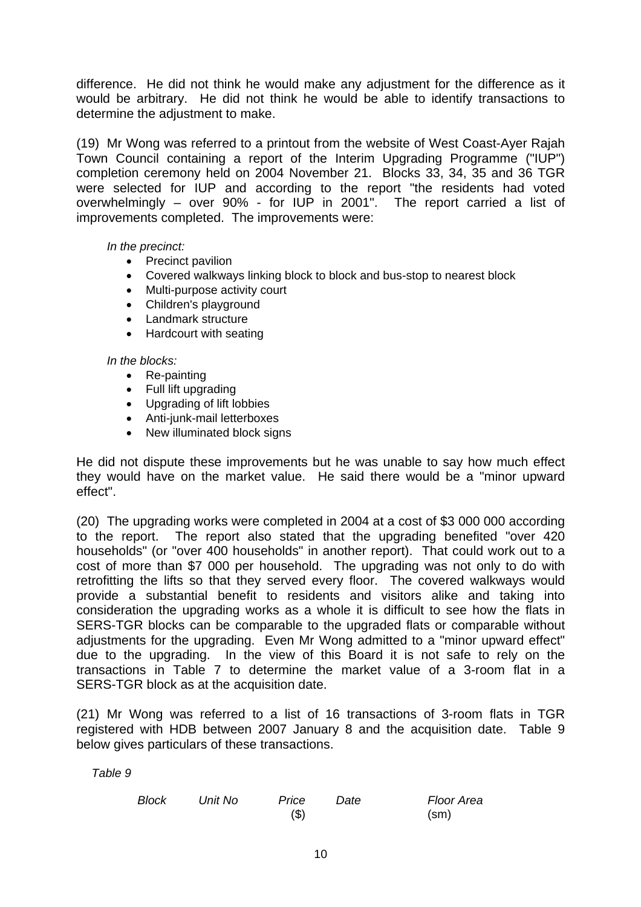difference. He did not think he would make any adjustment for the difference as it would be arbitrary. He did not think he would be able to identify transactions to determine the adjustment to make.

(19) Mr Wong was referred to a printout from the website of West Coast-Ayer Rajah Town Council containing a report of the Interim Upgrading Programme ("IUP") completion ceremony held on 2004 November 21. Blocks 33, 34, 35 and 36 TGR were selected for IUP and according to the report "the residents had voted overwhelmingly – over 90% - for IUP in 2001". The report carried a list of improvements completed. The improvements were:

*In the precinct:* 

- Precinct pavilion
- Covered walkways linking block to block and bus-stop to nearest block
- Multi-purpose activity court
- Children's playground
- Landmark structure
- Hardcourt with seating

#### *In the blocks:*

- Re-painting
- Full lift upgrading
- Upgrading of lift lobbies
- Anti-junk-mail letterboxes
- New illuminated block signs

He did not dispute these improvements but he was unable to say how much effect they would have on the market value. He said there would be a "minor upward effect".

(20) The upgrading works were completed in 2004 at a cost of \$3 000 000 according to the report. The report also stated that the upgrading benefited "over 420 households" (or "over 400 households" in another report). That could work out to a cost of more than \$7 000 per household. The upgrading was not only to do with retrofitting the lifts so that they served every floor. The covered walkways would provide a substantial benefit to residents and visitors alike and taking into consideration the upgrading works as a whole it is difficult to see how the flats in SERS-TGR blocks can be comparable to the upgraded flats or comparable without adjustments for the upgrading. Even Mr Wong admitted to a "minor upward effect" due to the upgrading. In the view of this Board it is not safe to rely on the transactions in Table 7 to determine the market value of a 3-room flat in a SERS-TGR block as at the acquisition date.

(21) Mr Wong was referred to a list of 16 transactions of 3-room flats in TGR registered with HDB between 2007 January 8 and the acquisition date. Table 9 below gives particulars of these transactions.

| <b>Block</b> | Unit No | Price | Date | Floor Area        |
|--------------|---------|-------|------|-------------------|
|              |         | ( \$) |      | (s <sub>m</sub> ) |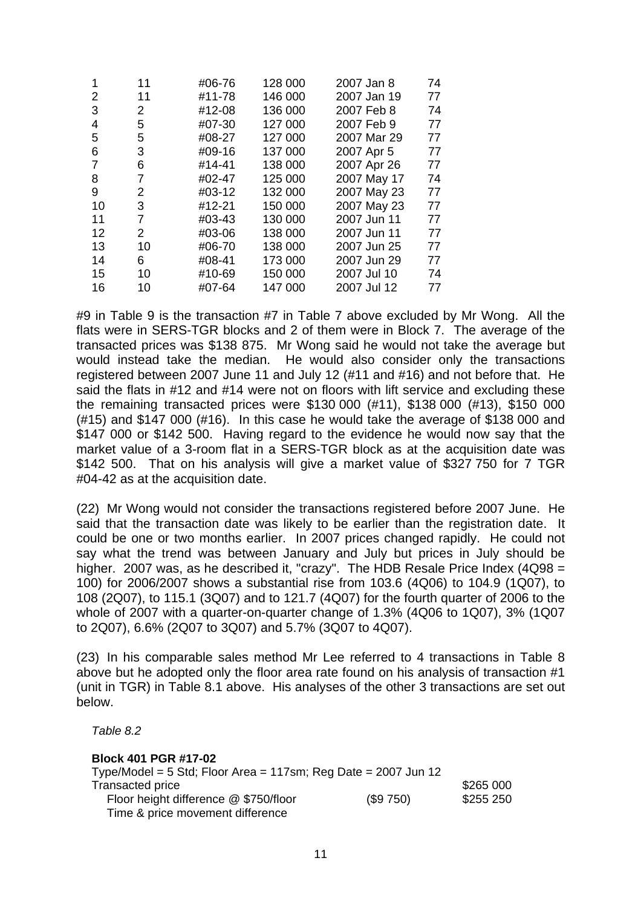| 11 | #06-76 | 128 000 | 2007 Jan 8  | 74 |
|----|--------|---------|-------------|----|
| 11 | #11-78 | 146 000 | 2007 Jan 19 | 77 |
| 2  | #12-08 | 136 000 | 2007 Feb 8  | 74 |
| 5  | #07-30 | 127 000 | 2007 Feb 9  | 77 |
| 5  | #08-27 | 127 000 | 2007 Mar 29 | 77 |
| 3  | #09-16 | 137 000 | 2007 Apr 5  | 77 |
| 6  | #14-41 | 138 000 | 2007 Apr 26 | 77 |
| 7  | #02-47 | 125 000 | 2007 May 17 | 74 |
| 2  | #03-12 | 132 000 | 2007 May 23 | 77 |
| 3  | #12-21 | 150 000 | 2007 May 23 | 77 |
| 7  | #03-43 | 130 000 | 2007 Jun 11 | 77 |
| 2  | #03-06 | 138 000 | 2007 Jun 11 | 77 |
| 10 | #06-70 | 138 000 | 2007 Jun 25 | 77 |
| 6  | #08-41 | 173 000 | 2007 Jun 29 | 77 |
| 10 | #10-69 | 150 000 | 2007 Jul 10 | 74 |
| 10 | #07-64 | 147 000 | 2007 Jul 12 | 77 |
|    |        |         |             |    |

#9 in Table 9 is the transaction #7 in Table 7 above excluded by Mr Wong. All the flats were in SERS-TGR blocks and 2 of them were in Block 7. The average of the transacted prices was \$138 875. Mr Wong said he would not take the average but would instead take the median. He would also consider only the transactions registered between 2007 June 11 and July 12 (#11 and #16) and not before that. He said the flats in #12 and #14 were not on floors with lift service and excluding these the remaining transacted prices were \$130 000 (#11), \$138 000 (#13), \$150 000 (#15) and \$147 000 (#16). In this case he would take the average of \$138 000 and \$147 000 or \$142 500. Having regard to the evidence he would now say that the market value of a 3-room flat in a SERS-TGR block as at the acquisition date was \$142 500. That on his analysis will give a market value of \$327 750 for 7 TGR #04-42 as at the acquisition date.

(22) Mr Wong would not consider the transactions registered before 2007 June. He said that the transaction date was likely to be earlier than the registration date. It could be one or two months earlier. In 2007 prices changed rapidly. He could not say what the trend was between January and July but prices in July should be higher. 2007 was, as he described it, "crazy". The HDB Resale Price Index (4Q98 = 100) for 2006/2007 shows a substantial rise from 103.6 (4Q06) to 104.9 (1Q07), to 108 (2Q07), to 115.1 (3Q07) and to 121.7 (4Q07) for the fourth quarter of 2006 to the whole of 2007 with a quarter-on-quarter change of 1.3% (4Q06 to 1Q07), 3% (1Q07 to 2Q07), 6.6% (2Q07 to 3Q07) and 5.7% (3Q07 to 4Q07).

(23) In his comparable sales method Mr Lee referred to 4 transactions in Table 8 above but he adopted only the floor area rate found on his analysis of transaction #1 (unit in TGR) in Table 8.1 above. His analyses of the other 3 transactions are set out below.

 *Table 8.2* 

#### **Block 401 PGR #17-02**

| Type/Model = 5 Std; Floor Area = 117sm; Reg Date = $2007$ Jun 12 |          |           |
|------------------------------------------------------------------|----------|-----------|
| Transacted price                                                 |          | \$265 000 |
| Floor height difference @ \$750/floor                            | (\$9750) | \$255 250 |
| Time & price movement difference                                 |          |           |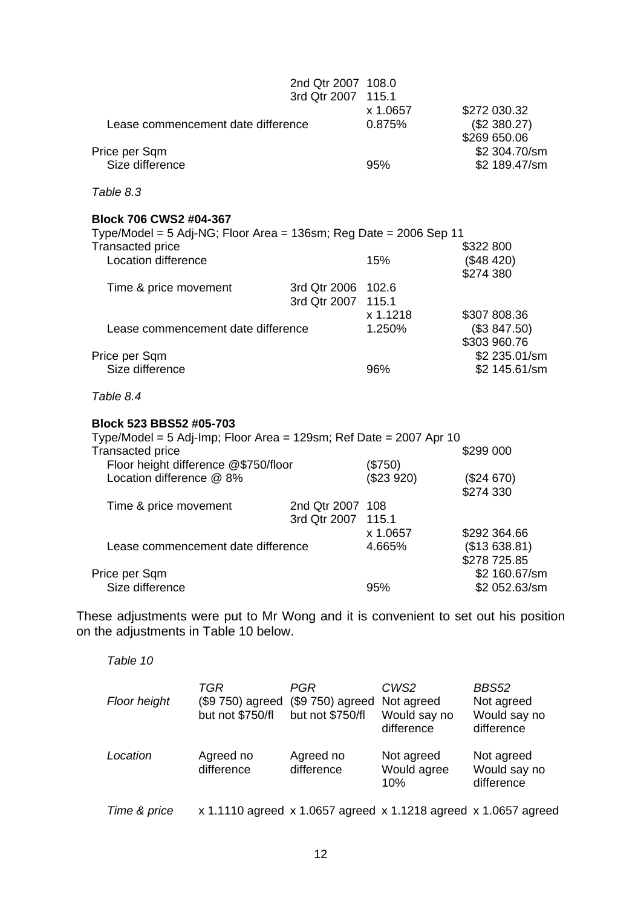|                                                                                                                            | 2nd Qtr 2007 108.0<br>3rd Qtr 2007 115.1 | x 1.0657  |                                              |
|----------------------------------------------------------------------------------------------------------------------------|------------------------------------------|-----------|----------------------------------------------|
|                                                                                                                            | Lease commencement date difference       |           | \$272 030.32<br>(\$2 380.27)<br>\$269 650.06 |
| Price per Sqm                                                                                                              |                                          |           | \$2 304.70/sm                                |
| Size difference                                                                                                            |                                          | 95%       | \$2 189.47/sm                                |
| Table 8.3                                                                                                                  |                                          |           |                                              |
| Block 706 CWS2 #04-367                                                                                                     |                                          |           |                                              |
| Type/Model = 5 Adj-NG; Floor Area = 136sm; Reg Date = 2006 Sep 11                                                          |                                          |           |                                              |
| <b>Transacted price</b>                                                                                                    |                                          |           | \$322 800                                    |
| Location difference                                                                                                        |                                          | 15%       | (\$48, 420)<br>\$274 380                     |
| Time & price movement                                                                                                      | 3rd Qtr 2006 102.6                       |           |                                              |
|                                                                                                                            | 3rd Qtr 2007                             | 115.1     |                                              |
|                                                                                                                            |                                          | x 1.1218  | \$307 808.36                                 |
| Lease commencement date difference                                                                                         |                                          | 1.250%    | (\$3 847.50)                                 |
|                                                                                                                            |                                          |           | \$303 960.76                                 |
| Price per Sqm                                                                                                              |                                          |           | \$2 235.01/sm                                |
| Size difference                                                                                                            |                                          | 96%       | \$2 145.61/sm                                |
| Table 8.4                                                                                                                  |                                          |           |                                              |
| Block 523 BBS52 #05-703                                                                                                    |                                          |           |                                              |
| Type/Model = 5 Adj-Imp; Floor Area = 129sm; Ref Date = 2007 Apr 10                                                         |                                          |           |                                              |
| <b>Transacted price</b>                                                                                                    |                                          |           | \$299 000                                    |
| Floor height difference @\$750/floor                                                                                       |                                          | (\$750)   |                                              |
| Location difference @ 8%                                                                                                   |                                          | (\$23920) | (\$24 670)                                   |
|                                                                                                                            |                                          |           | \$274 330                                    |
| Time & price movement                                                                                                      | 2nd Qtr 2007 108                         |           |                                              |
|                                                                                                                            | 3rd Qtr 2007 115.1                       |           |                                              |
|                                                                                                                            |                                          | x 1.0657  | \$292 364.66                                 |
| Lease commencement date difference                                                                                         |                                          | 4.665%    | (\$13638.81)                                 |
|                                                                                                                            |                                          |           | \$278 725.85                                 |
| Price per Sqm                                                                                                              |                                          |           | \$2 160.67/sm                                |
| Size difference                                                                                                            |                                          | 95%       | \$2 052.63/sm                                |
|                                                                                                                            |                                          |           |                                              |
| These adjustments were put to Mr Wong and it is convenient to set out his position<br>on the adjustments in Tahle 10 helow |                                          |           |                                              |

on the adjustments in Table 10 below.

| Floor height | TGR<br>(\$9 750) agreed<br>but not \$750/fl                     | PGR<br>(\$9 750) agreed<br>but not \$750/fl | CWS2<br>Not agreed<br>Would say no<br>difference | <b>BBS52</b><br>Not agreed<br>Would say no<br>difference |
|--------------|-----------------------------------------------------------------|---------------------------------------------|--------------------------------------------------|----------------------------------------------------------|
| Location     | Agreed no<br>difference                                         | Agreed no<br>difference                     | Not agreed<br>Would agree<br>10%                 | Not agreed<br>Would say no<br>difference                 |
| Time & price | x 1.1110 agreed x 1.0657 agreed x 1.1218 agreed x 1.0657 agreed |                                             |                                                  |                                                          |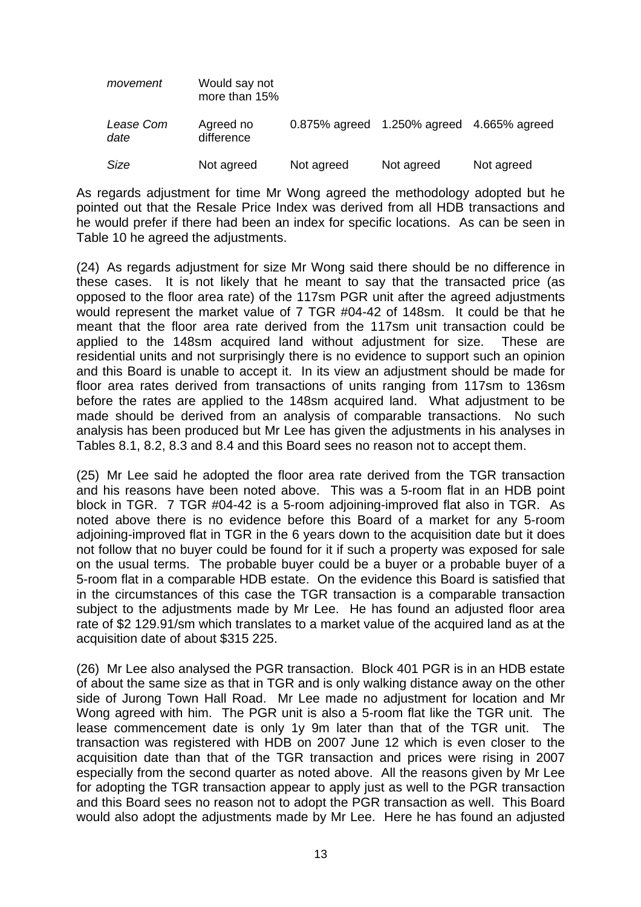| movement                 | Would say not<br>more than 15% |                 |                             |            |
|--------------------------|--------------------------------|-----------------|-----------------------------|------------|
| <i>Lease Com</i><br>date | Agreed no<br>difference        | $0.875%$ agreed | 1.250% agreed 4.665% agreed |            |
| Size                     | Not agreed                     | Not agreed      | Not agreed                  | Not agreed |

As regards adjustment for time Mr Wong agreed the methodology adopted but he pointed out that the Resale Price Index was derived from all HDB transactions and he would prefer if there had been an index for specific locations. As can be seen in Table 10 he agreed the adjustments.

(24) As regards adjustment for size Mr Wong said there should be no difference in these cases. It is not likely that he meant to say that the transacted price (as opposed to the floor area rate) of the 117sm PGR unit after the agreed adjustments would represent the market value of 7 TGR #04-42 of 148sm. It could be that he meant that the floor area rate derived from the 117sm unit transaction could be applied to the 148sm acquired land without adjustment for size. These are residential units and not surprisingly there is no evidence to support such an opinion and this Board is unable to accept it. In its view an adjustment should be made for floor area rates derived from transactions of units ranging from 117sm to 136sm before the rates are applied to the 148sm acquired land. What adjustment to be made should be derived from an analysis of comparable transactions. No such analysis has been produced but Mr Lee has given the adjustments in his analyses in Tables 8.1, 8.2, 8.3 and 8.4 and this Board sees no reason not to accept them.

(25) Mr Lee said he adopted the floor area rate derived from the TGR transaction and his reasons have been noted above. This was a 5-room flat in an HDB point block in TGR. 7 TGR #04-42 is a 5-room adjoining-improved flat also in TGR. As noted above there is no evidence before this Board of a market for any 5-room adjoining-improved flat in TGR in the 6 years down to the acquisition date but it does not follow that no buyer could be found for it if such a property was exposed for sale on the usual terms. The probable buyer could be a buyer or a probable buyer of a 5-room flat in a comparable HDB estate. On the evidence this Board is satisfied that in the circumstances of this case the TGR transaction is a comparable transaction subject to the adjustments made by Mr Lee. He has found an adjusted floor area rate of \$2 129.91/sm which translates to a market value of the acquired land as at the acquisition date of about \$315 225.

(26) Mr Lee also analysed the PGR transaction. Block 401 PGR is in an HDB estate of about the same size as that in TGR and is only walking distance away on the other side of Jurong Town Hall Road. Mr Lee made no adjustment for location and Mr Wong agreed with him. The PGR unit is also a 5-room flat like the TGR unit. The lease commencement date is only 1y 9m later than that of the TGR unit. The transaction was registered with HDB on 2007 June 12 which is even closer to the acquisition date than that of the TGR transaction and prices were rising in 2007 especially from the second quarter as noted above. All the reasons given by Mr Lee for adopting the TGR transaction appear to apply just as well to the PGR transaction and this Board sees no reason not to adopt the PGR transaction as well. This Board would also adopt the adjustments made by Mr Lee. Here he has found an adjusted